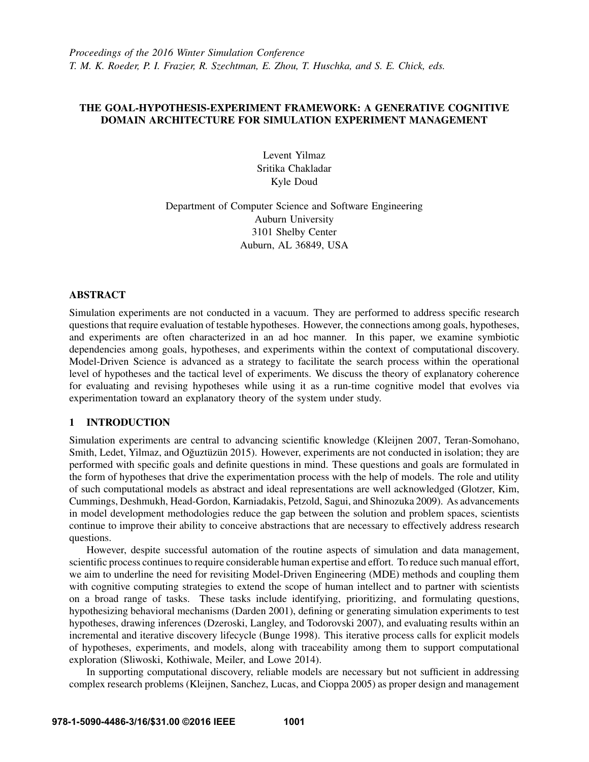*Proceedings of the 2016 Winter Simulation Conference T. M. K. Roeder, P. I. Frazier, R. Szechtman, E. Zhou, T. Huschka, and S. E. Chick, eds.*

# THE GOAL-HYPOTHESIS-EXPERIMENT FRAMEWORK: A GENERATIVE COGNITIVE DOMAIN ARCHITECTURE FOR SIMULATION EXPERIMENT MANAGEMENT

Levent Yilmaz Sritika Chakladar Kyle Doud

Department of Computer Science and Software Engineering Auburn University 3101 Shelby Center Auburn, AL 36849, USA

#### ABSTRACT

Simulation experiments are not conducted in a vacuum. They are performed to address specific research questions that require evaluation of testable hypotheses. However, the connections among goals, hypotheses, and experiments are often characterized in an ad hoc manner. In this paper, we examine symbiotic dependencies among goals, hypotheses, and experiments within the context of computational discovery. Model-Driven Science is advanced as a strategy to facilitate the search process within the operational level of hypotheses and the tactical level of experiments. We discuss the theory of explanatory coherence for evaluating and revising hypotheses while using it as a run-time cognitive model that evolves via experimentation toward an explanatory theory of the system under study.

#### 1 INTRODUCTION

Simulation experiments are central to advancing scientific knowledge (Kleijnen 2007, Teran-Somohano, Smith, Ledet, Yilmaz, and Oğuztüzün 2015). However, experiments are not conducted in isolation; they are performed with specific goals and definite questions in mind. These questions and goals are formulated in the form of hypotheses that drive the experimentation process with the help of models. The role and utility of such computational models as abstract and ideal representations are well acknowledged (Glotzer, Kim, Cummings, Deshmukh, Head-Gordon, Karniadakis, Petzold, Sagui, and Shinozuka 2009). As advancements in model development methodologies reduce the gap between the solution and problem spaces, scientists continue to improve their ability to conceive abstractions that are necessary to effectively address research questions.

However, despite successful automation of the routine aspects of simulation and data management, scientific process continues to require considerable human expertise and effort. To reduce such manual effort, we aim to underline the need for revisiting Model-Driven Engineering (MDE) methods and coupling them with cognitive computing strategies to extend the scope of human intellect and to partner with scientists on a broad range of tasks. These tasks include identifying, prioritizing, and formulating questions, hypothesizing behavioral mechanisms (Darden 2001), defining or generating simulation experiments to test hypotheses, drawing inferences (Dzeroski, Langley, and Todorovski 2007), and evaluating results within an incremental and iterative discovery lifecycle (Bunge 1998). This iterative process calls for explicit models of hypotheses, experiments, and models, along with traceability among them to support computational exploration (Sliwoski, Kothiwale, Meiler, and Lowe 2014).

In supporting computational discovery, reliable models are necessary but not sufficient in addressing complex research problems (Kleijnen, Sanchez, Lucas, and Cioppa 2005) as proper design and management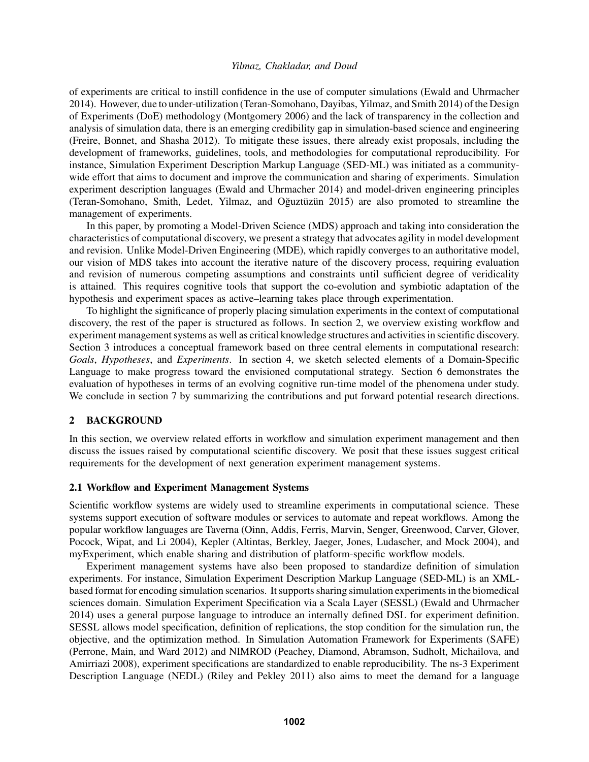of experiments are critical to instill confidence in the use of computer simulations (Ewald and Uhrmacher 2014). However, due to under-utilization (Teran-Somohano, Dayibas, Yilmaz, and Smith 2014) of the Design of Experiments (DoE) methodology (Montgomery 2006) and the lack of transparency in the collection and analysis of simulation data, there is an emerging credibility gap in simulation-based science and engineering (Freire, Bonnet, and Shasha 2012). To mitigate these issues, there already exist proposals, including the development of frameworks, guidelines, tools, and methodologies for computational reproducibility. For instance, Simulation Experiment Description Markup Language (SED-ML) was initiated as a communitywide effort that aims to document and improve the communication and sharing of experiments. Simulation experiment description languages (Ewald and Uhrmacher 2014) and model-driven engineering principles (Teran-Somohano, Smith, Ledet, Yilmaz, and Oğuztüzün 2015) are also promoted to streamline the management of experiments.

In this paper, by promoting a Model-Driven Science (MDS) approach and taking into consideration the characteristics of computational discovery, we present a strategy that advocates agility in model development and revision. Unlike Model-Driven Engineering (MDE), which rapidly converges to an authoritative model, our vision of MDS takes into account the iterative nature of the discovery process, requiring evaluation and revision of numerous competing assumptions and constraints until sufficient degree of veridicality is attained. This requires cognitive tools that support the co-evolution and symbiotic adaptation of the hypothesis and experiment spaces as active–learning takes place through experimentation.

To highlight the significance of properly placing simulation experiments in the context of computational discovery, the rest of the paper is structured as follows. In section 2, we overview existing workflow and experiment management systems as well as critical knowledge structures and activities in scientific discovery. Section 3 introduces a conceptual framework based on three central elements in computational research: *Goals*, *Hypotheses*, and *Experiments*. In section 4, we sketch selected elements of a Domain-Specific Language to make progress toward the envisioned computational strategy. Section 6 demonstrates the evaluation of hypotheses in terms of an evolving cognitive run-time model of the phenomena under study. We conclude in section 7 by summarizing the contributions and put forward potential research directions.

# 2 BACKGROUND

In this section, we overview related efforts in workflow and simulation experiment management and then discuss the issues raised by computational scientific discovery. We posit that these issues suggest critical requirements for the development of next generation experiment management systems.

## 2.1 Workflow and Experiment Management Systems

Scientific workflow systems are widely used to streamline experiments in computational science. These systems support execution of software modules or services to automate and repeat workflows. Among the popular workflow languages are Taverna (Oinn, Addis, Ferris, Marvin, Senger, Greenwood, Carver, Glover, Pocock, Wipat, and Li 2004), Kepler (Altintas, Berkley, Jaeger, Jones, Ludascher, and Mock 2004), and myExperiment, which enable sharing and distribution of platform-specific workflow models.

Experiment management systems have also been proposed to standardize definition of simulation experiments. For instance, Simulation Experiment Description Markup Language (SED-ML) is an XMLbased format for encoding simulation scenarios. It supports sharing simulation experiments in the biomedical sciences domain. Simulation Experiment Specification via a Scala Layer (SESSL) (Ewald and Uhrmacher 2014) uses a general purpose language to introduce an internally defined DSL for experiment definition. SESSL allows model specification, definition of replications, the stop condition for the simulation run, the objective, and the optimization method. In Simulation Automation Framework for Experiments (SAFE) (Perrone, Main, and Ward 2012) and NIMROD (Peachey, Diamond, Abramson, Sudholt, Michailova, and Amirriazi 2008), experiment specifications are standardized to enable reproducibility. The ns-3 Experiment Description Language (NEDL) (Riley and Pekley 2011) also aims to meet the demand for a language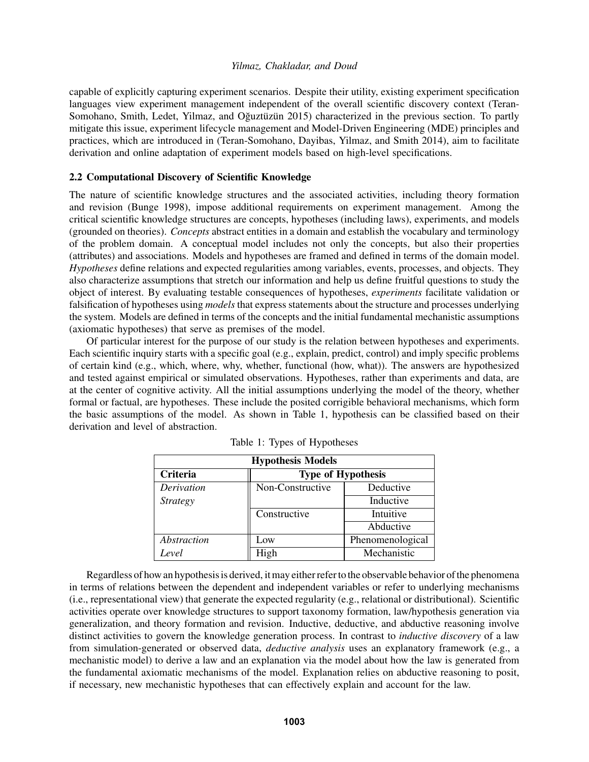capable of explicitly capturing experiment scenarios. Despite their utility, existing experiment specification languages view experiment management independent of the overall scientific discovery context (Teran-Somohano, Smith, Ledet, Yilmaz, and Oğuztüzün 2015) characterized in the previous section. To partly mitigate this issue, experiment lifecycle management and Model-Driven Engineering (MDE) principles and practices, which are introduced in (Teran-Somohano, Dayibas, Yilmaz, and Smith 2014), aim to facilitate derivation and online adaptation of experiment models based on high-level specifications.

### 2.2 Computational Discovery of Scientific Knowledge

The nature of scientific knowledge structures and the associated activities, including theory formation and revision (Bunge 1998), impose additional requirements on experiment management. Among the critical scientific knowledge structures are concepts, hypotheses (including laws), experiments, and models (grounded on theories). *Concepts* abstract entities in a domain and establish the vocabulary and terminology of the problem domain. A conceptual model includes not only the concepts, but also their properties (attributes) and associations. Models and hypotheses are framed and defined in terms of the domain model. *Hypotheses* define relations and expected regularities among variables, events, processes, and objects. They also characterize assumptions that stretch our information and help us define fruitful questions to study the object of interest. By evaluating testable consequences of hypotheses, *experiments* facilitate validation or falsification of hypotheses using *models* that express statements about the structure and processes underlying the system. Models are defined in terms of the concepts and the initial fundamental mechanistic assumptions (axiomatic hypotheses) that serve as premises of the model.

Of particular interest for the purpose of our study is the relation between hypotheses and experiments. Each scientific inquiry starts with a specific goal (e.g., explain, predict, control) and imply specific problems of certain kind (e.g., which, where, why, whether, functional (how, what)). The answers are hypothesized and tested against empirical or simulated observations. Hypotheses, rather than experiments and data, are at the center of cognitive activity. All the initial assumptions underlying the model of the theory, whether formal or factual, are hypotheses. These include the posited corrigible behavioral mechanisms, which form the basic assumptions of the model. As shown in Table 1, hypothesis can be classified based on their derivation and level of abstraction.

| <b>Hypothesis Models</b> |                           |                  |
|--------------------------|---------------------------|------------------|
| <b>Criteria</b>          | <b>Type of Hypothesis</b> |                  |
| Derivation               | Non-Constructive          | Deductive        |
| <i>Strategy</i>          |                           | Inductive        |
|                          | Constructive              | Intuitive        |
|                          |                           | Abductive        |
| Abstraction              | Low                       | Phenomenological |
| Level                    | High                      | Mechanistic      |

Table 1: Types of Hypotheses

Regardless of how an hypothesisis derived, it may either refertothe observable behavior ofthe phenomena in terms of relations between the dependent and independent variables or refer to underlying mechanisms (i.e., representational view) that generate the expected regularity (e.g., relational or distributional). Scientific activities operate over knowledge structures to support taxonomy formation, law/hypothesis generation via generalization, and theory formation and revision. Inductive, deductive, and abductive reasoning involve distinct activities to govern the knowledge generation process. In contrast to *inductive discovery* of a law from simulation-generated or observed data, *deductive analysis* uses an explanatory framework (e.g., a mechanistic model) to derive a law and an explanation via the model about how the law is generated from the fundamental axiomatic mechanisms of the model. Explanation relies on abductive reasoning to posit, if necessary, new mechanistic hypotheses that can effectively explain and account for the law.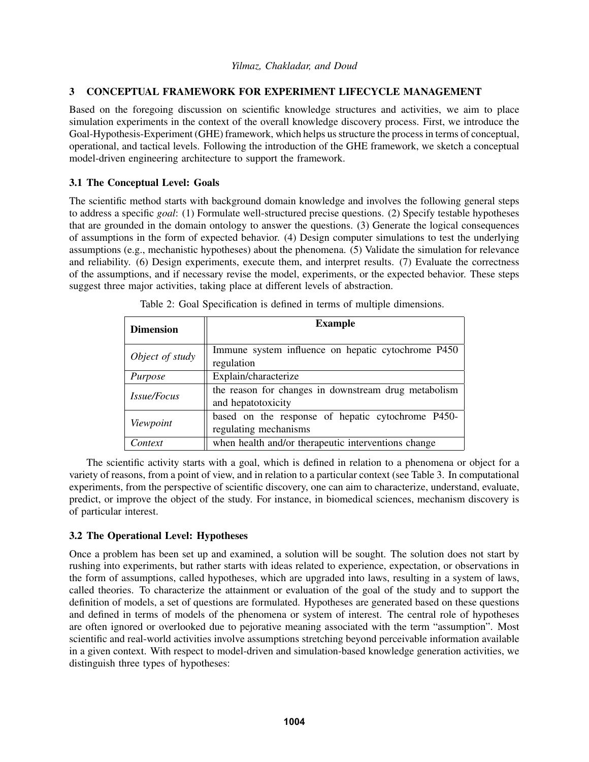# 3 CONCEPTUAL FRAMEWORK FOR EXPERIMENT LIFECYCLE MANAGEMENT

Based on the foregoing discussion on scientific knowledge structures and activities, we aim to place simulation experiments in the context of the overall knowledge discovery process. First, we introduce the Goal-Hypothesis-Experiment (GHE) framework, which helps us structure the process in terms of conceptual, operational, and tactical levels. Following the introduction of the GHE framework, we sketch a conceptual model-driven engineering architecture to support the framework.

# 3.1 The Conceptual Level: Goals

The scientific method starts with background domain knowledge and involves the following general steps to address a specific *goal*: (1) Formulate well-structured precise questions. (2) Specify testable hypotheses that are grounded in the domain ontology to answer the questions. (3) Generate the logical consequences of assumptions in the form of expected behavior. (4) Design computer simulations to test the underlying assumptions (e.g., mechanistic hypotheses) about the phenomena. (5) Validate the simulation for relevance and reliability. (6) Design experiments, execute them, and interpret results. (7) Evaluate the correctness of the assumptions, and if necessary revise the model, experiments, or the expected behavior. These steps suggest three major activities, taking place at different levels of abstraction.

| <b>Dimension</b>   | <b>Example</b>                                       |
|--------------------|------------------------------------------------------|
| Object of study    | Immune system influence on hepatic cytochrome P450   |
|                    | regulation                                           |
| Purpose            | Explain/characterize                                 |
| <i>Issue/Focus</i> | the reason for changes in downstream drug metabolism |
|                    | and hepatotoxicity                                   |
| Viewpoint          | based on the response of hepatic cytochrome P450-    |
|                    | regulating mechanisms                                |
| Context            | when health and/or therapeutic interventions change  |

Table 2: Goal Specification is defined in terms of multiple dimensions.

The scientific activity starts with a goal, which is defined in relation to a phenomena or object for a variety of reasons, from a point of view, and in relation to a particular context (see Table 3. In computational experiments, from the perspective of scientific discovery, one can aim to characterize, understand, evaluate, predict, or improve the object of the study. For instance, in biomedical sciences, mechanism discovery is of particular interest.

## 3.2 The Operational Level: Hypotheses

Once a problem has been set up and examined, a solution will be sought. The solution does not start by rushing into experiments, but rather starts with ideas related to experience, expectation, or observations in the form of assumptions, called hypotheses, which are upgraded into laws, resulting in a system of laws, called theories. To characterize the attainment or evaluation of the goal of the study and to support the definition of models, a set of questions are formulated. Hypotheses are generated based on these questions and defined in terms of models of the phenomena or system of interest. The central role of hypotheses are often ignored or overlooked due to pejorative meaning associated with the term "assumption". Most scientific and real-world activities involve assumptions stretching beyond perceivable information available in a given context. With respect to model-driven and simulation-based knowledge generation activities, we distinguish three types of hypotheses: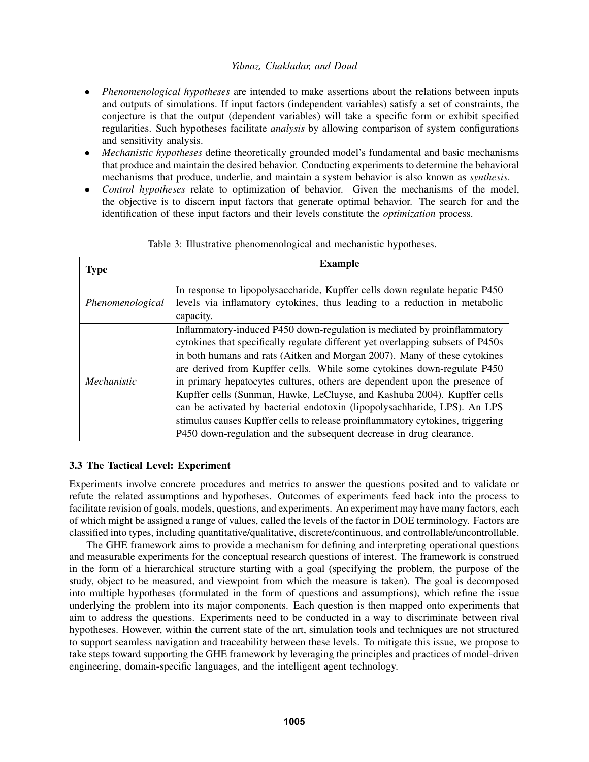- *Phenomenological hypotheses* are intended to make assertions about the relations between inputs and outputs of simulations. If input factors (independent variables) satisfy a set of constraints, the conjecture is that the output (dependent variables) will take a specific form or exhibit specified regularities. Such hypotheses facilitate *analysis* by allowing comparison of system configurations and sensitivity analysis.
- *Mechanistic hypotheses* define theoretically grounded model's fundamental and basic mechanisms that produce and maintain the desired behavior. Conducting experiments to determine the behavioral mechanisms that produce, underlie, and maintain a system behavior is also known as *synthesis*.
- *Control hypotheses* relate to optimization of behavior. Given the mechanisms of the model, the objective is to discern input factors that generate optimal behavior. The search for and the identification of these input factors and their levels constitute the *optimization* process.

| <b>Type</b>      | <b>Example</b>                                                                                                                                                                                                                                                                                                                                                                                                                                                                                                                                                                                                                                                                                                      |
|------------------|---------------------------------------------------------------------------------------------------------------------------------------------------------------------------------------------------------------------------------------------------------------------------------------------------------------------------------------------------------------------------------------------------------------------------------------------------------------------------------------------------------------------------------------------------------------------------------------------------------------------------------------------------------------------------------------------------------------------|
| Phenomenological | In response to lipopolysaccharide, Kupffer cells down regulate hepatic P450<br>levels via inflamatory cytokines, thus leading to a reduction in metabolic<br>capacity.                                                                                                                                                                                                                                                                                                                                                                                                                                                                                                                                              |
| Mechanistic      | Inflammatory-induced P450 down-regulation is mediated by proinflammatory<br>cytokines that specifically regulate different yet overlapping subsets of P450s<br>in both humans and rats (Aitken and Morgan 2007). Many of these cytokines<br>are derived from Kupffer cells. While some cytokines down-regulate P450<br>in primary hepatocytes cultures, others are dependent upon the presence of<br>Kupffer cells (Sunman, Hawke, LeCluyse, and Kashuba 2004). Kupffer cells<br>can be activated by bacterial endotoxin (lipopolysachharide, LPS). An LPS<br>stimulus causes Kupffer cells to release proinflammatory cytokines, triggering<br>P450 down-regulation and the subsequent decrease in drug clearance. |

Table 3: Illustrative phenomenological and mechanistic hypotheses.

# 3.3 The Tactical Level: Experiment

Experiments involve concrete procedures and metrics to answer the questions posited and to validate or refute the related assumptions and hypotheses. Outcomes of experiments feed back into the process to facilitate revision of goals, models, questions, and experiments. An experiment may have many factors, each of which might be assigned a range of values, called the levels of the factor in DOE terminology. Factors are classified into types, including quantitative/qualitative, discrete/continuous, and controllable/uncontrollable.

The GHE framework aims to provide a mechanism for defining and interpreting operational questions and measurable experiments for the conceptual research questions of interest. The framework is construed in the form of a hierarchical structure starting with a goal (specifying the problem, the purpose of the study, object to be measured, and viewpoint from which the measure is taken). The goal is decomposed into multiple hypotheses (formulated in the form of questions and assumptions), which refine the issue underlying the problem into its major components. Each question is then mapped onto experiments that aim to address the questions. Experiments need to be conducted in a way to discriminate between rival hypotheses. However, within the current state of the art, simulation tools and techniques are not structured to support seamless navigation and traceability between these levels. To mitigate this issue, we propose to take steps toward supporting the GHE framework by leveraging the principles and practices of model-driven engineering, domain-specific languages, and the intelligent agent technology.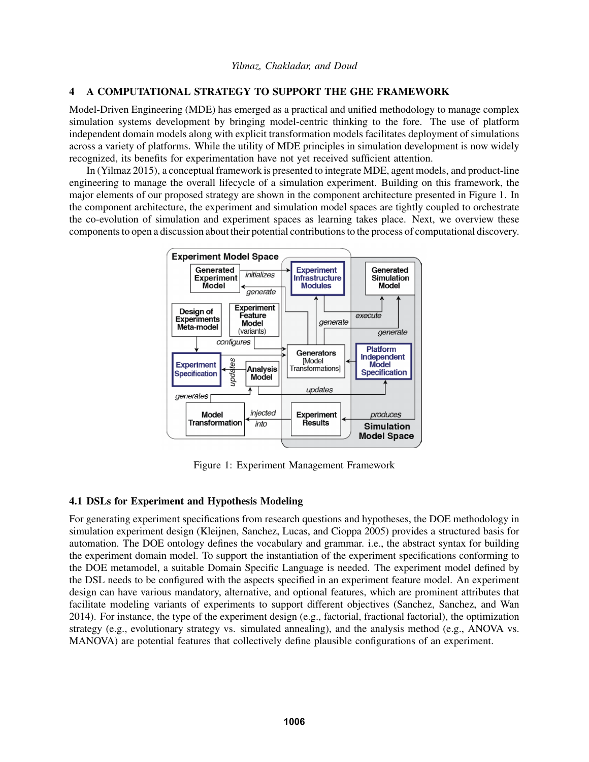## 4 A COMPUTATIONAL STRATEGY TO SUPPORT THE GHE FRAMEWORK

Model-Driven Engineering (MDE) has emerged as a practical and unified methodology to manage complex simulation systems development by bringing model-centric thinking to the fore. The use of platform independent domain models along with explicit transformation models facilitates deployment of simulations across a variety of platforms. While the utility of MDE principles in simulation development is now widely recognized, its benefits for experimentation have not yet received sufficient attention.

In (Yilmaz 2015), a conceptual framework is presented to integrate MDE, agent models, and product-line engineering to manage the overall lifecycle of a simulation experiment. Building on this framework, the major elements of our proposed strategy are shown in the component architecture presented in Figure 1. In the component architecture, the experiment and simulation model spaces are tightly coupled to orchestrate the co-evolution of simulation and experiment spaces as learning takes place. Next, we overview these components to open a discussion about their potential contributions to the process of computational discovery.



Figure 1: Experiment Management Framework

## 4.1 DSLs for Experiment and Hypothesis Modeling

For generating experiment specifications from research questions and hypotheses, the DOE methodology in simulation experiment design (Kleijnen, Sanchez, Lucas, and Cioppa 2005) provides a structured basis for automation. The DOE ontology defines the vocabulary and grammar. i.e., the abstract syntax for building the experiment domain model. To support the instantiation of the experiment specifications conforming to the DOE metamodel, a suitable Domain Specific Language is needed. The experiment model defined by the DSL needs to be configured with the aspects specified in an experiment feature model. An experiment design can have various mandatory, alternative, and optional features, which are prominent attributes that facilitate modeling variants of experiments to support different objectives (Sanchez, Sanchez, and Wan 2014). For instance, the type of the experiment design (e.g., factorial, fractional factorial), the optimization strategy (e.g., evolutionary strategy vs. simulated annealing), and the analysis method (e.g., ANOVA vs. MANOVA) are potential features that collectively define plausible configurations of an experiment.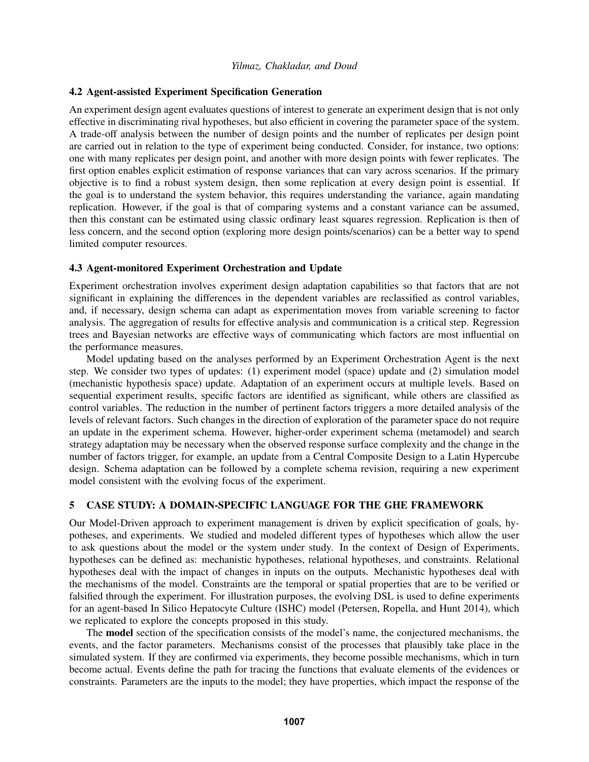### 4.2 Agent-assisted Experiment Specification Generation

An experiment design agent evaluates questions of interest to generate an experiment design that is not only effective in discriminating rival hypotheses, but also efficient in covering the parameter space of the system. A trade-off analysis between the number of design points and the number of replicates per design point are carried out in relation to the type of experiment being conducted. Consider, for instance, two options: one with many replicates per design point, and another with more design points with fewer replicates. The first option enables explicit estimation of response variances that can vary across scenarios. If the primary objective is to find a robust system design, then some replication at every design point is essential. If the goal is to understand the system behavior, this requires understanding the variance, again mandating replication. However, if the goal is that of comparing systems and a constant variance can be assumed, then this constant can be estimated using classic ordinary least squares regression. Replication is then of less concern, and the second option (exploring more design points/scenarios) can be a better way to spend limited computer resources.

### 4.3 Agent-monitored Experiment Orchestration and Update

Experiment orchestration involves experiment design adaptation capabilities so that factors that are not significant in explaining the differences in the dependent variables are reclassified as control variables, and, if necessary, design schema can adapt as experimentation moves from variable screening to factor analysis. The aggregation of results for effective analysis and communication is a critical step. Regression trees and Bayesian networks are effective ways of communicating which factors are most influential on the performance measures.

Model updating based on the analyses performed by an Experiment Orchestration Agent is the next step. We consider two types of updates: (1) experiment model (space) update and (2) simulation model (mechanistic hypothesis space) update. Adaptation of an experiment occurs at multiple levels. Based on sequential experiment results, specific factors are identified as significant, while others are classified as control variables. The reduction in the number of pertinent factors triggers a more detailed analysis of the levels of relevant factors. Such changes in the direction of exploration of the parameter space do not require an update in the experiment schema. However, higher-order experiment schema (metamodel) and search strategy adaptation may be necessary when the observed response surface complexity and the change in the number of factors trigger, for example, an update from a Central Composite Design to a Latin Hypercube design. Schema adaptation can be followed by a complete schema revision, requiring a new experiment model consistent with the evolving focus of the experiment.

# 5 CASE STUDY: A DOMAIN-SPECIFIC LANGUAGE FOR THE GHE FRAMEWORK

Our Model-Driven approach to experiment management is driven by explicit specification of goals, hypotheses, and experiments. We studied and modeled different types of hypotheses which allow the user to ask questions about the model or the system under study. In the context of Design of Experiments, hypotheses can be defined as: mechanistic hypotheses, relational hypotheses, and constraints. Relational hypotheses deal with the impact of changes in inputs on the outputs. Mechanistic hypotheses deal with the mechanisms of the model. Constraints are the temporal or spatial properties that are to be verified or falsified through the experiment. For illustration purposes, the evolving DSL is used to define experiments for an agent-based In Silico Hepatocyte Culture (ISHC) model (Petersen, Ropella, and Hunt 2014), which we replicated to explore the concepts proposed in this study.

The **model** section of the specification consists of the model's name, the conjectured mechanisms, the events, and the factor parameters. Mechanisms consist of the processes that plausibly take place in the simulated system. If they are confirmed via experiments, they become possible mechanisms, which in turn become actual. Events define the path for tracing the functions that evaluate elements of the evidences or constraints. Parameters are the inputs to the model; they have properties, which impact the response of the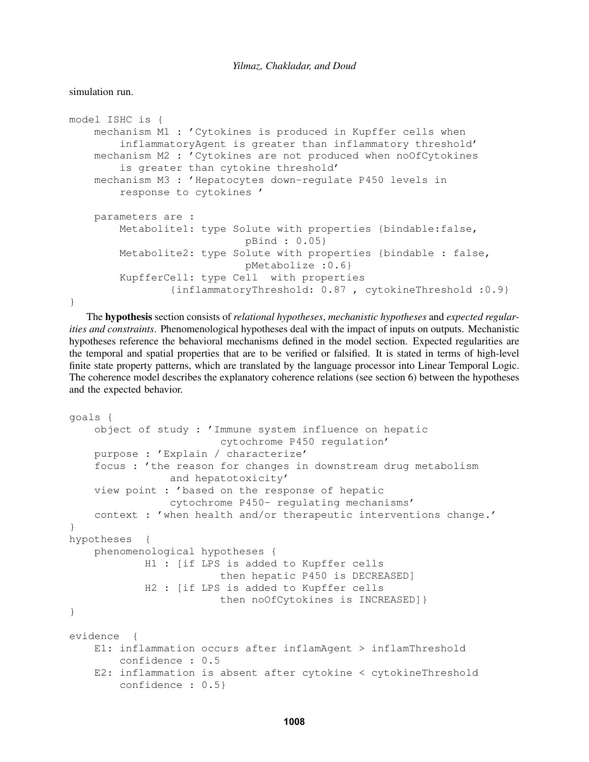simulation run.

```
model ISHC is {
    mechanism M1 : 'Cytokines is produced in Kupffer cells when
        inflammatoryAgent is greater than inflammatory threshold'
   mechanism M2 : 'Cytokines are not produced when noOfCytokines
        is greater than cytokine threshold'
   mechanism M3 : 'Hepatocytes down-regulate P450 levels in
        response to cytokines '
   parameters are :
        Metabolite1: type Solute with properties {bindable:false,
                            pBind : 0.05}
        Metabolite2: type Solute with properties {bindable : false,
                            pMetabolize :0.6}
        KupfferCell: type Cell with properties
                {inflammatoryThreshold: 0.87 , cytokineThreshold :0.9}
```
}

The hypothesis section consists of *relational hypotheses*, *mechanistic hypotheses* and *expected regularities and constraints*. Phenomenological hypotheses deal with the impact of inputs on outputs. Mechanistic hypotheses reference the behavioral mechanisms defined in the model section. Expected regularities are the temporal and spatial properties that are to be verified or falsified. It is stated in terms of high-level finite state property patterns, which are translated by the language processor into Linear Temporal Logic. The coherence model describes the explanatory coherence relations (see section 6) between the hypotheses and the expected behavior.

```
goals {
    object of study : 'Immune system influence on hepatic
                        cytochrome P450 regulation'
    purpose : 'Explain / characterize'
    focus : 'the reason for changes in downstream drug metabolism
                and hepatotoxicity'
    view point : 'based on the response of hepatic
                cytochrome P450- regulating mechanisms'
    context : 'when health and/or therapeutic interventions change.'
}
hypotheses {
    phenomenological hypotheses {
            H1 : [if LPS is added to Kupffer cells
                        then hepatic P450 is DECREASED]
            H2 : [if LPS is added to Kupffer cells
                        then noOfCytokines is INCREASED]}
}
evidence {
   E1: inflammation occurs after inflamAgent > inflamThreshold
        confidence : 0.5
    E2: inflammation is absent after cytokine < cytokineThreshold
        confidence : 0.5}
```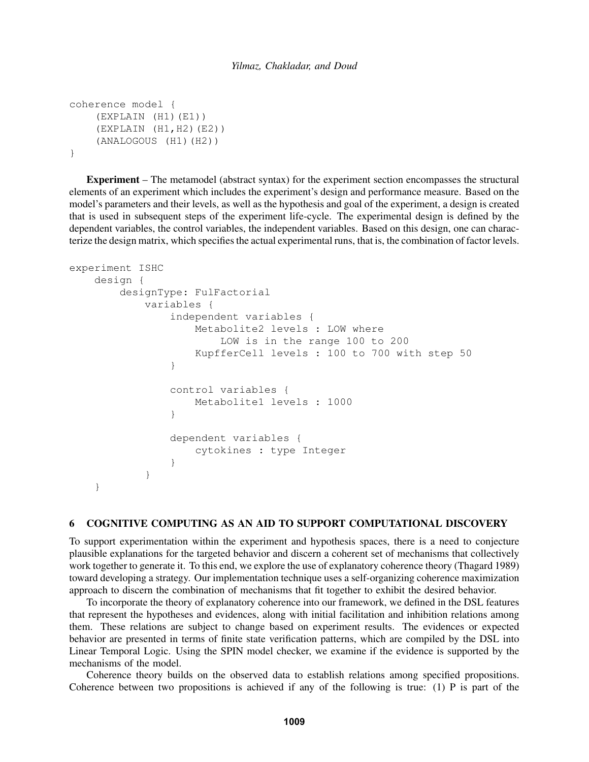```
coherence model {
    (EXPLAIN (H1)(E1))
    (EXPLAIN (H1,H2)(E2))
    (ANALOGOUS (H1)(H2))
}
```
Experiment – The metamodel (abstract syntax) for the experiment section encompasses the structural elements of an experiment which includes the experiment's design and performance measure. Based on the model's parameters and their levels, as well as the hypothesis and goal of the experiment, a design is created that is used in subsequent steps of the experiment life-cycle. The experimental design is defined by the dependent variables, the control variables, the independent variables. Based on this design, one can characterize the design matrix, which specifies the actual experimental runs, that is, the combination of factor levels.

```
experiment ISHC
    design {
        designType: FulFactorial
            variables {
                independent variables {
                    Metabolite2 levels : LOW where
                         LOW is in the range 100 to 200
                    KupfferCell levels : 100 to 700 with step 50
                }
                control variables {
                    Metabolite1 levels : 1000
                }
                dependent variables {
                     cytokines : type Integer
                }
            }
    }
```
### 6 COGNITIVE COMPUTING AS AN AID TO SUPPORT COMPUTATIONAL DISCOVERY

To support experimentation within the experiment and hypothesis spaces, there is a need to conjecture plausible explanations for the targeted behavior and discern a coherent set of mechanisms that collectively work together to generate it. To this end, we explore the use of explanatory coherence theory (Thagard 1989) toward developing a strategy. Our implementation technique uses a self-organizing coherence maximization approach to discern the combination of mechanisms that fit together to exhibit the desired behavior.

To incorporate the theory of explanatory coherence into our framework, we defined in the DSL features that represent the hypotheses and evidences, along with initial facilitation and inhibition relations among them. These relations are subject to change based on experiment results. The evidences or expected behavior are presented in terms of finite state verification patterns, which are compiled by the DSL into Linear Temporal Logic. Using the SPIN model checker, we examine if the evidence is supported by the mechanisms of the model.

Coherence theory builds on the observed data to establish relations among specified propositions. Coherence between two propositions is achieved if any of the following is true: (1) P is part of the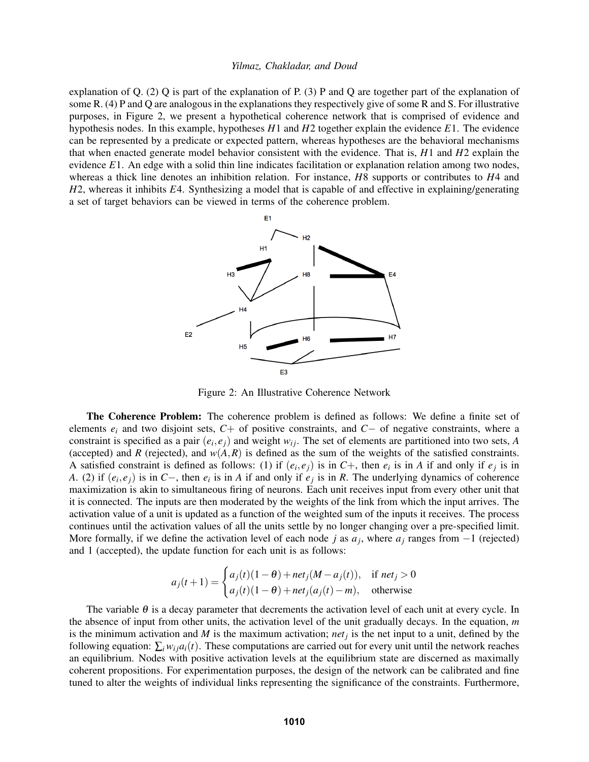explanation of Q. (2) Q is part of the explanation of P. (3) P and Q are together part of the explanation of some R. (4) P and Q are analogous in the explanations they respectively give of some R and S. For illustrative purposes, in Figure 2, we present a hypothetical coherence network that is comprised of evidence and hypothesis nodes. In this example, hypotheses *H*1 and *H*2 together explain the evidence *E*1. The evidence can be represented by a predicate or expected pattern, whereas hypotheses are the behavioral mechanisms that when enacted generate model behavior consistent with the evidence. That is, *H*1 and *H*2 explain the evidence *E*1. An edge with a solid thin line indicates facilitation or explanation relation among two nodes, whereas a thick line denotes an inhibition relation. For instance, *H*8 supports or contributes to *H*4 and *H*2, whereas it inhibits *E*4. Synthesizing a model that is capable of and effective in explaining/generating a set of target behaviors can be viewed in terms of the coherence problem.



Figure 2: An Illustrative Coherence Network

The Coherence Problem: The coherence problem is defined as follows: We define a finite set of elements *e<sup>i</sup>* and two disjoint sets, *C*+ of positive constraints, and *C*− of negative constraints, where a constraint is specified as a pair  $(e_i, e_j)$  and weight  $w_{ij}$ . The set of elements are partitioned into two sets, *A* (accepted) and *R* (rejected), and  $w(A,R)$  is defined as the sum of the weights of the satisfied constraints. A satisfied constraint is defined as follows: (1) if  $(e_i, e_j)$  is in  $C+$ , then  $e_i$  is in A if and only if  $e_j$  is in *A*. (2) if  $(e_i, e_j)$  is in *C*−, then  $e_i$  is in *A* if and only if  $e_j$  is in *R*. The underlying dynamics of coherence maximization is akin to simultaneous firing of neurons. Each unit receives input from every other unit that it is connected. The inputs are then moderated by the weights of the link from which the input arrives. The activation value of a unit is updated as a function of the weighted sum of the inputs it receives. The process continues until the activation values of all the units settle by no longer changing over a pre-specified limit. More formally, if we define the activation level of each node *j* as  $a_j$ , where  $a_j$  ranges from  $-1$  (rejected) and 1 (accepted), the update function for each unit is as follows:

$$
a_j(t+1) = \begin{cases} a_j(t)(1-\theta) + net_j(M - a_j(t)), & \text{if } net_j > 0\\ a_j(t)(1-\theta) + net_j(a_j(t) - m), & \text{otherwise} \end{cases}
$$

The variable  $\theta$  is a decay parameter that decrements the activation level of each unit at every cycle. In the absence of input from other units, the activation level of the unit gradually decays. In the equation, *m* is the minimum activation and *M* is the maximum activation; *net<sup>j</sup>* is the net input to a unit, defined by the following equation:  $\sum_i w_{ij} a_i(t)$ . These computations are carried out for every unit until the network reaches an equilibrium. Nodes with positive activation levels at the equilibrium state are discerned as maximally coherent propositions. For experimentation purposes, the design of the network can be calibrated and fine tuned to alter the weights of individual links representing the significance of the constraints. Furthermore,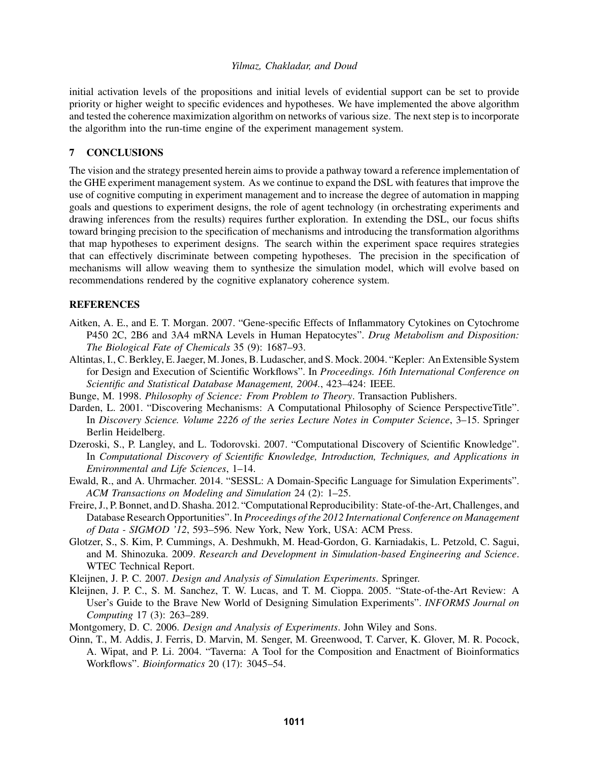initial activation levels of the propositions and initial levels of evidential support can be set to provide priority or higher weight to specific evidences and hypotheses. We have implemented the above algorithm and tested the coherence maximization algorithm on networks of various size. The next step is to incorporate the algorithm into the run-time engine of the experiment management system.

# 7 CONCLUSIONS

The vision and the strategy presented herein aims to provide a pathway toward a reference implementation of the GHE experiment management system. As we continue to expand the DSL with features that improve the use of cognitive computing in experiment management and to increase the degree of automation in mapping goals and questions to experiment designs, the role of agent technology (in orchestrating experiments and drawing inferences from the results) requires further exploration. In extending the DSL, our focus shifts toward bringing precision to the specification of mechanisms and introducing the transformation algorithms that map hypotheses to experiment designs. The search within the experiment space requires strategies that can effectively discriminate between competing hypotheses. The precision in the specification of mechanisms will allow weaving them to synthesize the simulation model, which will evolve based on recommendations rendered by the cognitive explanatory coherence system.

# **REFERENCES**

- Aitken, A. E., and E. T. Morgan. 2007. "Gene-specific Effects of Inflammatory Cytokines on Cytochrome P450 2C, 2B6 and 3A4 mRNA Levels in Human Hepatocytes". *Drug Metabolism and Disposition: The Biological Fate of Chemicals* 35 (9): 1687–93.
- Altintas, I., C. Berkley, E. Jaeger, M. Jones, B. Ludascher, and S. Mock. 2004. "Kepler: An Extensible System for Design and Execution of Scientific Workflows". In *Proceedings. 16th International Conference on Scientific and Statistical Database Management, 2004.*, 423–424: IEEE.
- Bunge, M. 1998. *Philosophy of Science: From Problem to Theory*. Transaction Publishers.
- Darden, L. 2001. "Discovering Mechanisms: A Computational Philosophy of Science PerspectiveTitle". In *Discovery Science. Volume 2226 of the series Lecture Notes in Computer Science*, 3–15. Springer Berlin Heidelberg.
- Dzeroski, S., P. Langley, and L. Todorovski. 2007. "Computational Discovery of Scientific Knowledge". In *Computational Discovery of Scientific Knowledge, Introduction, Techniques, and Applications in Environmental and Life Sciences*, 1–14.
- Ewald, R., and A. Uhrmacher. 2014. "SESSL: A Domain-Specific Language for Simulation Experiments". *ACM Transactions on Modeling and Simulation* 24 (2): 1–25.
- Freire, J., P. Bonnet, and D. Shasha. 2012. "Computational Reproducibility: State-of-the-Art, Challenges, and Database Research Opportunities". In *Proceedings of the 2012 International Conference on Management of Data - SIGMOD '12*, 593–596. New York, New York, USA: ACM Press.
- Glotzer, S., S. Kim, P. Cummings, A. Deshmukh, M. Head-Gordon, G. Karniadakis, L. Petzold, C. Sagui, and M. Shinozuka. 2009. *Research and Development in Simulation-based Engineering and Science*. WTEC Technical Report.
- Kleijnen, J. P. C. 2007. *Design and Analysis of Simulation Experiments*. Springer.
- Kleijnen, J. P. C., S. M. Sanchez, T. W. Lucas, and T. M. Cioppa. 2005. "State-of-the-Art Review: A User's Guide to the Brave New World of Designing Simulation Experiments". *INFORMS Journal on Computing* 17 (3): 263–289.
- Montgomery, D. C. 2006. *Design and Analysis of Experiments*. John Wiley and Sons.
- Oinn, T., M. Addis, J. Ferris, D. Marvin, M. Senger, M. Greenwood, T. Carver, K. Glover, M. R. Pocock, A. Wipat, and P. Li. 2004. "Taverna: A Tool for the Composition and Enactment of Bioinformatics Workflows". *Bioinformatics* 20 (17): 3045–54.